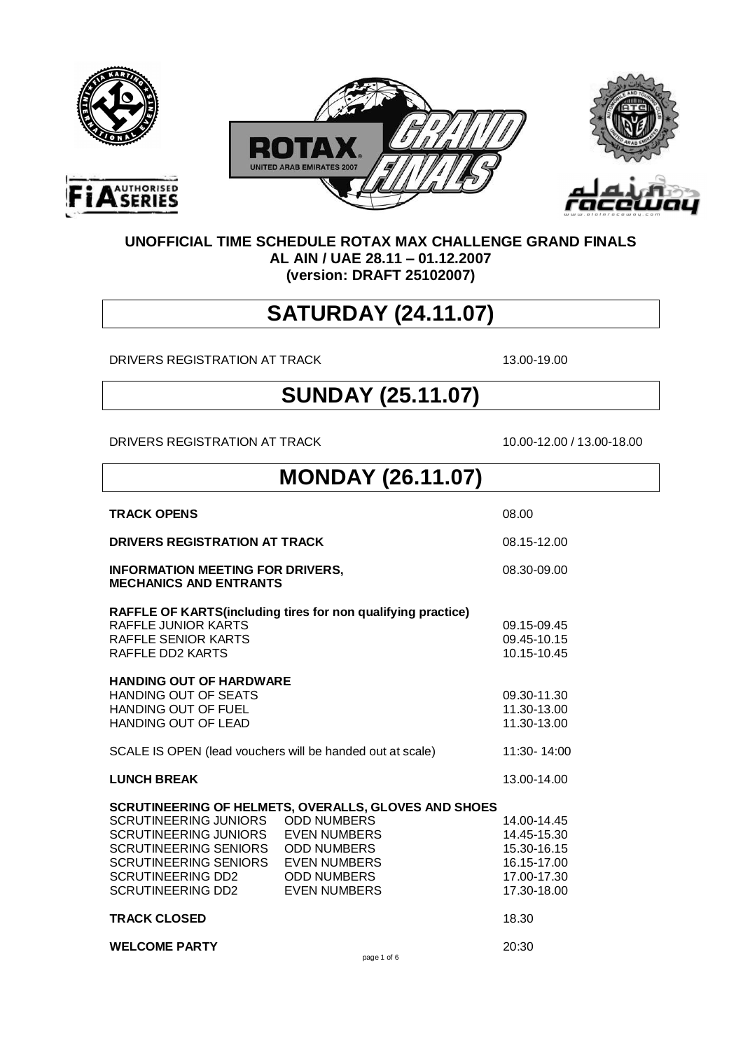

 $\Gamma$ 

**AUTHORISED** 





#### **UNOFFICIAL TIME SCHEDULE ROTAX MAX CHALLENGE GRAND FINALS AL AIN / UAE 28.11 – 01.12.2007 (version: DRAFT 25102007)**

#### **SATURDAY (24.11.07)**

DRIVERS REGISTRATION AT TRACK 13.00-19.00

#### **SUNDAY (25.11.07)**

DRIVERS REGISTRATION AT TRACK 10.00-12.00 / 13.00-18.00

| <b>MONDAY (26.11.07)</b>                                                                                                                                                         |                                                                                                                                |                                                                                        |  |
|----------------------------------------------------------------------------------------------------------------------------------------------------------------------------------|--------------------------------------------------------------------------------------------------------------------------------|----------------------------------------------------------------------------------------|--|
| <b>TRACK OPENS</b>                                                                                                                                                               |                                                                                                                                | 08.00                                                                                  |  |
| DRIVERS REGISTRATION AT TRACK                                                                                                                                                    |                                                                                                                                | 08.15-12.00                                                                            |  |
| <b>INFORMATION MEETING FOR DRIVERS,</b><br><b>MECHANICS AND ENTRANTS</b>                                                                                                         |                                                                                                                                | 08.30-09.00                                                                            |  |
| RAFFLE JUNIOR KARTS<br><b>RAFFLE SENIOR KARTS</b><br>RAFFLE DD2 KARTS                                                                                                            | RAFFLE OF KARTS (including tires for non qualifying practice)                                                                  | 09.15-09.45<br>09.45-10.15<br>10.15-10.45                                              |  |
| <b>HANDING OUT OF HARDWARE</b><br><b>HANDING OUT OF SEATS</b><br><b>HANDING OUT OF FUEL</b><br>HANDING OUT OF LEAD                                                               |                                                                                                                                | 09.30-11.30<br>11.30-13.00<br>11.30-13.00                                              |  |
| SCALE IS OPEN (lead vouchers will be handed out at scale)                                                                                                                        |                                                                                                                                | 11:30-14:00                                                                            |  |
| <b>LUNCH BREAK</b>                                                                                                                                                               |                                                                                                                                | 13.00-14.00                                                                            |  |
| SCRUTINEERING JUNIORS ODD NUMBERS<br>SCRUTINEERING JUNIORS<br>SCRUTINEERING SENIORS<br>SCRUTINEERING SENIORS EVEN NUMBERS<br>SCRUTINEERING DD2<br>SCRUTINEERING DD2 EVEN NUMBERS | <b>SCRUTINEERING OF HELMETS, OVERALLS, GLOVES AND SHOES</b><br><b>EVEN NUMBERS</b><br><b>ODD NUMBERS</b><br><b>ODD NUMBERS</b> | 14.00-14.45<br>14.45-15.30<br>15.30-16.15<br>16.15-17.00<br>17.00-17.30<br>17.30-18.00 |  |
| <b>TRACK CLOSED</b>                                                                                                                                                              |                                                                                                                                | 18.30                                                                                  |  |
| <b>WELCOME PARTY</b>                                                                                                                                                             | page 1 of 6                                                                                                                    | 20:30                                                                                  |  |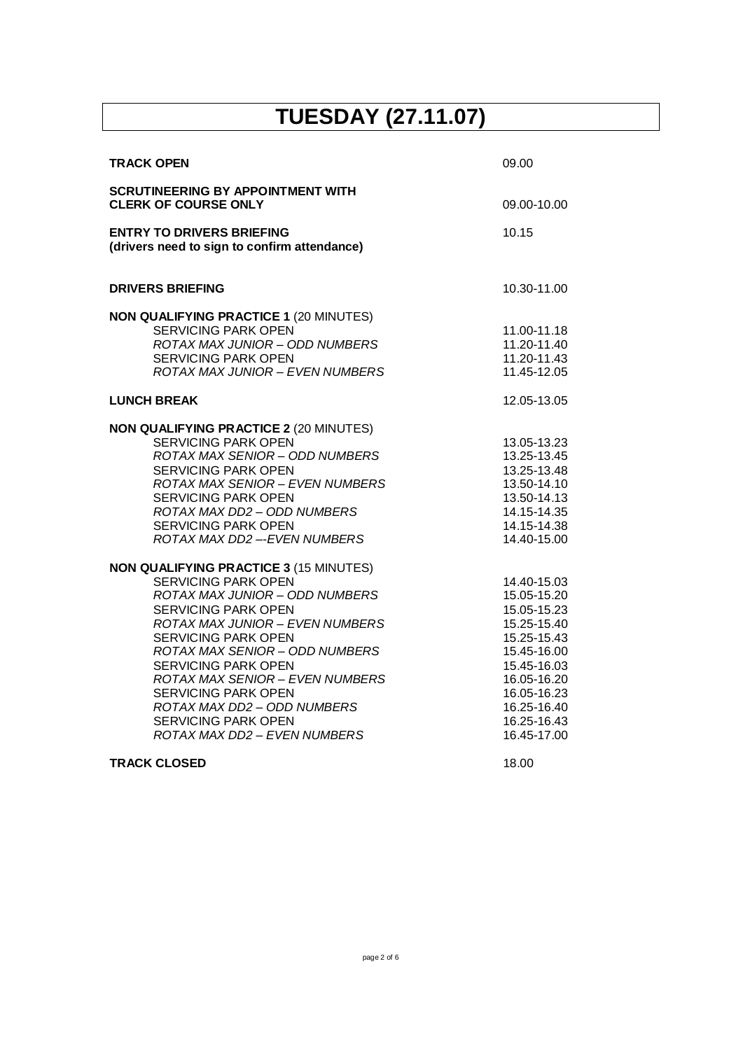### **TUESDAY (27.11.07)**

| 09.00                                                                                                                                                                            |
|----------------------------------------------------------------------------------------------------------------------------------------------------------------------------------|
| 09.00-10.00                                                                                                                                                                      |
| 10.15                                                                                                                                                                            |
| 10.30-11.00                                                                                                                                                                      |
| 11.00-11.18<br>11.20-11.40<br>11.20-11.43<br>11.45-12.05                                                                                                                         |
| 12.05-13.05                                                                                                                                                                      |
| 13.05-13.23<br>13.25-13.45<br>13.25-13.48<br>13.50-14.10<br>13.50-14.13<br>14.15-14.35<br>14.15-14.38<br>14.40-15.00                                                             |
| 14.40-15.03<br>15.05-15.20<br>15.05-15.23<br>15.25-15.40<br>15.25-15.43<br>15.45-16.00<br>15.45-16.03<br>16.05-16.20<br>16.05-16.23<br>16.25-16.40<br>16.25-16.43<br>16.45-17.00 |
|                                                                                                                                                                                  |

#### **TRACK CLOSED** 18.00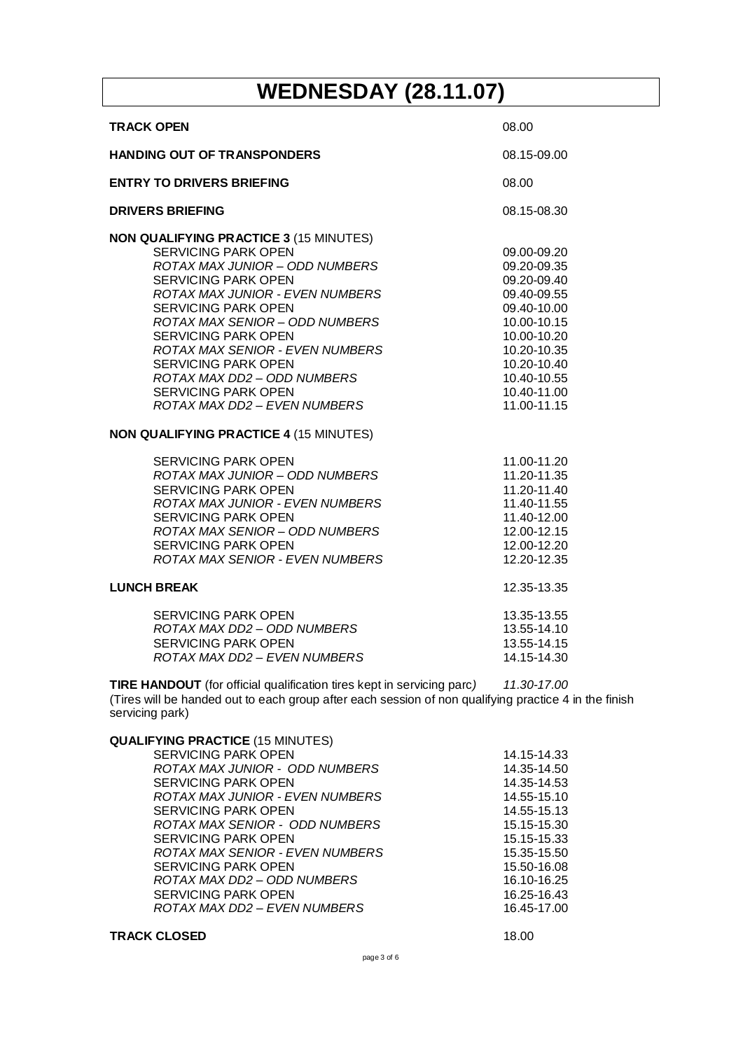## **WEDNESDAY (28.11.07)**

| <b>TRACK OPEN</b>                                                                                                                                                                                                                                                                                                                                                                                                                                        | 08.00                                                                                                                                                                            |
|----------------------------------------------------------------------------------------------------------------------------------------------------------------------------------------------------------------------------------------------------------------------------------------------------------------------------------------------------------------------------------------------------------------------------------------------------------|----------------------------------------------------------------------------------------------------------------------------------------------------------------------------------|
| <b>HANDING OUT OF TRANSPONDERS</b>                                                                                                                                                                                                                                                                                                                                                                                                                       | 08.15-09.00                                                                                                                                                                      |
| <b>ENTRY TO DRIVERS BRIEFING</b>                                                                                                                                                                                                                                                                                                                                                                                                                         | 08.00                                                                                                                                                                            |
| <b>DRIVERS BRIEFING</b>                                                                                                                                                                                                                                                                                                                                                                                                                                  | 08.15-08.30                                                                                                                                                                      |
| <b>NON QUALIFYING PRACTICE 3 (15 MINUTES)</b><br><b>SERVICING PARK OPEN</b><br><b>ROTAX MAX JUNIOR - ODD NUMBERS</b><br><b>SERVICING PARK OPEN</b><br><b>ROTAX MAX JUNIOR - EVEN NUMBERS</b><br><b>SERVICING PARK OPEN</b><br>ROTAX MAX SENIOR - ODD NUMBERS<br><b>SERVICING PARK OPEN</b><br>ROTAX MAX SENIOR - EVEN NUMBERS<br><b>SERVICING PARK OPEN</b><br>ROTAX MAX DD2 - ODD NUMBERS<br><b>SERVICING PARK OPEN</b><br>ROTAX MAX DD2 - EVEN NUMBERS | 09.00-09.20<br>09.20-09.35<br>09.20-09.40<br>09.40-09.55<br>09.40-10.00<br>10.00-10.15<br>10.00-10.20<br>10.20-10.35<br>10.20-10.40<br>10.40-10.55<br>10.40-11.00<br>11.00-11.15 |
| <b>NON QUALIFYING PRACTICE 4 (15 MINUTES)</b>                                                                                                                                                                                                                                                                                                                                                                                                            |                                                                                                                                                                                  |
| <b>SERVICING PARK OPEN</b><br>ROTAX MAX JUNIOR – ODD NUMBERS<br><b>SERVICING PARK OPEN</b><br>ROTAX MAX JUNIOR - EVEN NUMBERS<br><b>SERVICING PARK OPEN</b><br>ROTAX MAX SENIOR - ODD NUMBERS<br><b>SERVICING PARK OPEN</b><br>ROTAX MAX SENIOR - EVEN NUMBERS                                                                                                                                                                                           | 11.00-11.20<br>11.20-11.35<br>11.20-11.40<br>11.40-11.55<br>11.40-12.00<br>12.00-12.15<br>12.00-12.20<br>12.20-12.35                                                             |
| <b>LUNCH BREAK</b>                                                                                                                                                                                                                                                                                                                                                                                                                                       | 12.35-13.35                                                                                                                                                                      |
| <b>SERVICING PARK OPEN</b><br>ROTAX MAX DD2 - ODD NUMBERS<br><b>SERVICING PARK OPEN</b><br>ROTAX MAX DD2 - EVEN NUMBERS                                                                                                                                                                                                                                                                                                                                  | 13.35-13.55<br>13.55-14.10<br>13.55-14.15<br>14.15-14.30                                                                                                                         |
| <b>TIRE HANDOUT</b> (for official qualification tires kept in servicing parc)<br>(Tires will be handed out to each group after each session of non qualifying practice 4 in the finish<br>servicing park)                                                                                                                                                                                                                                                | 11.30-17.00                                                                                                                                                                      |
| <b>QUALIFYING PRACTICE (15 MINUTES)</b><br><b>SERVICING PARK OPEN</b><br>ROTAX MAX JUNIOR - ODD NUMBERS<br><b>SERVICING PARK OPEN</b><br><b>ROTAX MAX JUNIOR - EVEN NUMBERS</b><br><b>SERVICING PARK OPEN</b><br>ROTAX MAX SENIOR - ODD NUMBERS                                                                                                                                                                                                          | 14.15-14.33<br>14.35-14.50<br>14.35-14.53<br>14.55-15.10<br>14.55-15.13<br>15.15-15.30                                                                                           |

SERVICING PARK OPEN 15.15-15.33 *ROTAX MAX SENIOR - EVEN NUMBERS* 15.35-15.50 SERVICING PARK OPEN 15.50-16.08<br>ROTAX MAX DD2 - ODD NUMBERS 16.10-16.25 *ROTAX MAX DD2 – ODD NUMBERS* 16.10-16.25 SERVICING PARK OPEN 16.25-16.43<br>ROTAX MAX DD2 – EVEN NUMBERS 16.45-17.00

*ROTAX MAX DD2 – EVEN NUMBERS* 16.45-17.00

**TRACK CLOSED** 18.00

page 3 of 6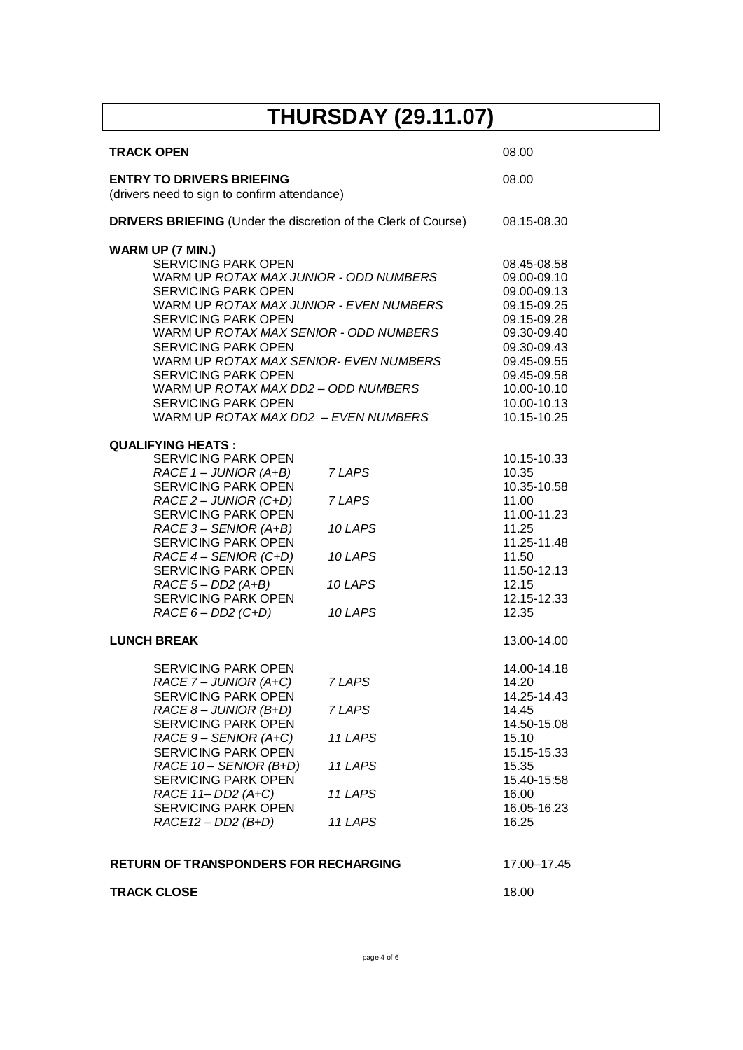## **THURSDAY (29.11.07)**

| <b>TRACK OPEN</b>                                                                                                                                                                                                                                                                                                                                                                                                                                                   |                                                              | 08.00                                                                                                                                                                            |
|---------------------------------------------------------------------------------------------------------------------------------------------------------------------------------------------------------------------------------------------------------------------------------------------------------------------------------------------------------------------------------------------------------------------------------------------------------------------|--------------------------------------------------------------|----------------------------------------------------------------------------------------------------------------------------------------------------------------------------------|
| <b>ENTRY TO DRIVERS BRIEFING</b><br>(drivers need to sign to confirm attendance)                                                                                                                                                                                                                                                                                                                                                                                    |                                                              | 08.00                                                                                                                                                                            |
| <b>DRIVERS BRIEFING</b> (Under the discretion of the Clerk of Course)                                                                                                                                                                                                                                                                                                                                                                                               |                                                              | 08.15-08.30                                                                                                                                                                      |
| <b>WARM UP (7 MIN.)</b><br><b>SERVICING PARK OPEN</b><br>WARM UP ROTAX MAX JUNIOR - ODD NUMBERS<br><b>SERVICING PARK OPEN</b><br>WARM UP ROTAX MAX JUNIOR - EVEN NUMBERS<br><b>SERVICING PARK OPEN</b><br>WARM UP ROTAX MAX SENIOR - ODD NUMBERS<br><b>SERVICING PARK OPEN</b><br>WARM UP ROTAX MAX SENIOR- EVEN NUMBERS<br><b>SERVICING PARK OPEN</b><br>WARM UP ROTAX MAX DD2 - ODD NUMBERS<br><b>SERVICING PARK OPEN</b><br>WARM UP ROTAX MAX DD2 - EVEN NUMBERS |                                                              | 08.45-08.58<br>09.00-09.10<br>09.00-09.13<br>09.15-09.25<br>09.15-09.28<br>09.30-09.40<br>09.30-09.43<br>09.45-09.55<br>09.45-09.58<br>10.00-10.10<br>10.00-10.13<br>10.15-10.25 |
| <b>QUALIFYING HEATS:</b><br><b>SERVICING PARK OPEN</b><br>$RACE 1 - JUNIOR (A+B)$<br><b>SERVICING PARK OPEN</b><br>RACE 2 - JUNIOR (C+D)<br><b>SERVICING PARK OPEN</b><br>RACE 3 - SENIOR (A+B)<br><b>SERVICING PARK OPEN</b><br>$RACE 4 - SENIOR (C+D)$<br><b>SERVICING PARK OPEN</b><br>$RACE 5 - DD2 (A+B)$<br><b>SERVICING PARK OPEN</b><br>$RACE 6 - DD2 (C+D)$                                                                                                | 7 LAPS<br>7 LAPS<br>10 LAPS<br>10 LAPS<br>10 LAPS<br>10 LAPS | 10.15-10.33<br>10.35<br>10.35-10.58<br>11.00<br>11.00-11.23<br>11.25<br>11.25-11.48<br>11.50<br>11.50-12.13<br>12.15<br>12.15-12.33<br>12.35                                     |
| <b>LUNCH BREAK</b>                                                                                                                                                                                                                                                                                                                                                                                                                                                  |                                                              | 13.00-14.00                                                                                                                                                                      |
| <b>SERVICING PARK OPEN</b><br>RACE 7 - JUNIOR (A+C)<br><b>SERVICING PARK OPEN</b><br>$RACE 8 - JUNIOR (B+D)$<br><b>SERVICING PARK OPEN</b><br>RACE 9 - SENIOR (A+C)<br><b>SERVICING PARK OPEN</b><br>RACE 10 - SENIOR (B+D)<br><b>SERVICING PARK OPEN</b><br>RACE 11- DD2 (A+C)<br><b>SERVICING PARK OPEN</b><br>$RACE12 - DD2 (B+D)$                                                                                                                               | 7 LAPS<br>7 LAPS<br>11 LAPS<br>11 LAPS<br>11 LAPS<br>11 LAPS | 14.00-14.18<br>14.20<br>14.25-14.43<br>14.45<br>14.50-15.08<br>15.10<br>15.15-15.33<br>15.35<br>15.40-15:58<br>16.00<br>16.05-16.23<br>16.25                                     |
| <b>RETURN OF TRANSPONDERS FOR RECHARGING</b>                                                                                                                                                                                                                                                                                                                                                                                                                        |                                                              | 17.00-17.45                                                                                                                                                                      |
| <b>TRACK CLOSE</b>                                                                                                                                                                                                                                                                                                                                                                                                                                                  |                                                              | 18.00                                                                                                                                                                            |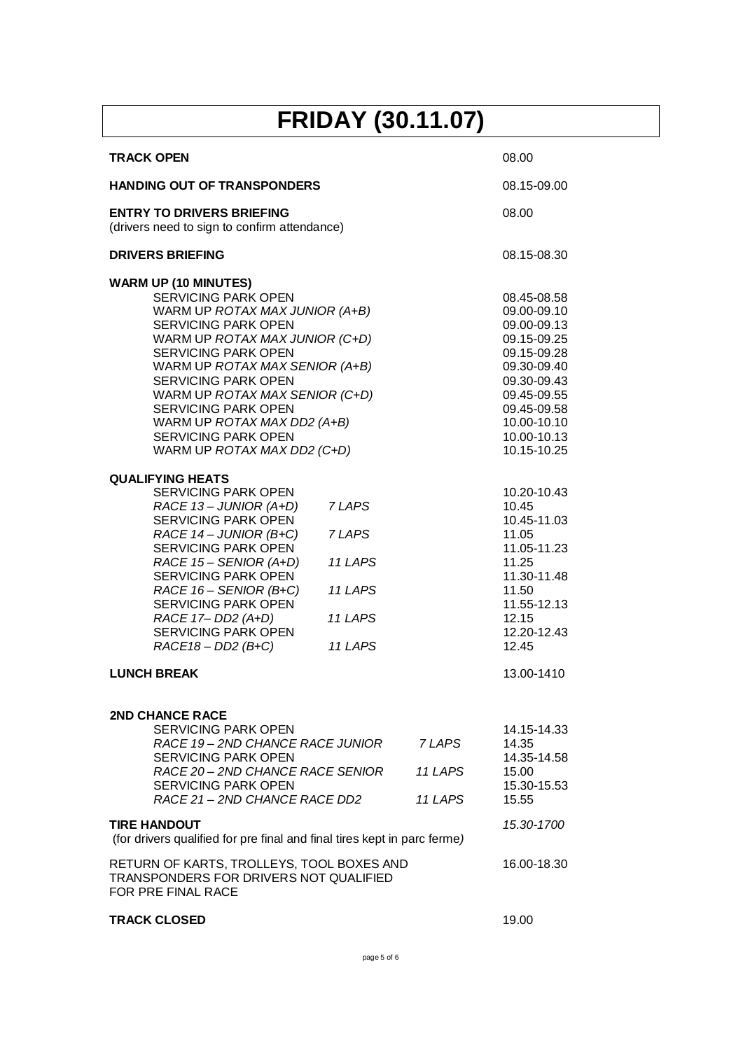# **FRIDAY (30.11.07)**

| <b>TRACK OPEN</b>                                                                                                                                                                                                                                                                                                                                                                                                     |                                          |                              | 08.00                                                                                                                                                                            |
|-----------------------------------------------------------------------------------------------------------------------------------------------------------------------------------------------------------------------------------------------------------------------------------------------------------------------------------------------------------------------------------------------------------------------|------------------------------------------|------------------------------|----------------------------------------------------------------------------------------------------------------------------------------------------------------------------------|
| <b>HANDING OUT OF TRANSPONDERS</b>                                                                                                                                                                                                                                                                                                                                                                                    |                                          |                              | 08.15-09.00                                                                                                                                                                      |
| <b>ENTRY TO DRIVERS BRIEFING</b><br>(drivers need to sign to confirm attendance)                                                                                                                                                                                                                                                                                                                                      | 08.00                                    |                              |                                                                                                                                                                                  |
| <b>DRIVERS BRIEFING</b>                                                                                                                                                                                                                                                                                                                                                                                               |                                          |                              | 08.15-08.30                                                                                                                                                                      |
| <b>WARM UP (10 MINUTES)</b><br><b>SERVICING PARK OPEN</b><br>WARM UP ROTAX MAX JUNIOR (A+B)<br><b>SERVICING PARK OPEN</b><br>WARM UP ROTAX MAX JUNIOR (C+D)<br><b>SERVICING PARK OPEN</b><br>WARM UP ROTAX MAX SENIOR (A+B)<br><b>SERVICING PARK OPEN</b><br>WARM UP ROTAX MAX SENIOR (C+D)<br><b>SERVICING PARK OPEN</b><br>WARM UP ROTAX MAX DD2 (A+B)<br><b>SERVICING PARK OPEN</b><br>WARM UP ROTAX MAX DD2 (C+D) |                                          |                              | 08.45-08.58<br>09.00-09.10<br>09.00-09.13<br>09.15-09.25<br>09.15-09.28<br>09.30-09.40<br>09.30-09.43<br>09.45-09.55<br>09.45-09.58<br>10.00-10.10<br>10.00-10.13<br>10.15-10.25 |
| <b>QUALIFYING HEATS</b><br><b>SERVICING PARK OPEN</b><br>RACE 13 - JUNIOR (A+D)<br><b>SERVICING PARK OPEN</b><br>RACE 14 - JUNIOR (B+C)                                                                                                                                                                                                                                                                               | 7 LAPS<br>7 LAPS                         |                              | 10.20-10.43<br>10.45<br>10.45-11.03<br>11.05                                                                                                                                     |
| <b>SERVICING PARK OPEN</b><br>RACE 15 - SENIOR (A+D)<br>SERVICING PARK OPEN<br>RACE 16 - SENIOR (B+C)<br><b>SERVICING PARK OPEN</b><br>RACE 17- DD2 (A+D)<br><b>SERVICING PARK OPEN</b><br>$RACE18 - DD2(B+C)$                                                                                                                                                                                                        | 11 LAPS<br>11 LAPS<br>11 LAPS<br>11 LAPS |                              | 11.05-11.23<br>11.25<br>11.30-11.48<br>11.50<br>11.55-12.13<br>12.15<br>12.20-12.43<br>12.45                                                                                     |
| <b>LUNCH BREAK</b>                                                                                                                                                                                                                                                                                                                                                                                                    |                                          |                              | 13.00-1410                                                                                                                                                                       |
| <b>2ND CHANCE RACE</b><br><b>SERVICING PARK OPEN</b><br>RACE 19 - 2ND CHANCE RACE JUNIOR<br><b>SERVICING PARK OPEN</b><br>RACE 20 - 2ND CHANCE RACE SENIOR<br><b>SERVICING PARK OPEN</b><br>RACE 21 - 2ND CHANCE RACE DD2                                                                                                                                                                                             |                                          | 7 LAPS<br>11 LAPS<br>11 LAPS | 14.15-14.33<br>14.35<br>14.35-14.58<br>15.00<br>15.30-15.53<br>15.55                                                                                                             |
| <b>TIRE HANDOUT</b><br>(for drivers qualified for pre final and final tires kept in parc ferme)                                                                                                                                                                                                                                                                                                                       |                                          |                              | 15.30-1700                                                                                                                                                                       |
| RETURN OF KARTS, TROLLEYS, TOOL BOXES AND<br>TRANSPONDERS FOR DRIVERS NOT QUALIFIED<br>FOR PRE FINAL RACE                                                                                                                                                                                                                                                                                                             |                                          |                              | 16.00-18.30                                                                                                                                                                      |
| <b>TRACK CLOSED</b>                                                                                                                                                                                                                                                                                                                                                                                                   |                                          |                              | 19.00                                                                                                                                                                            |

page 5 of 6